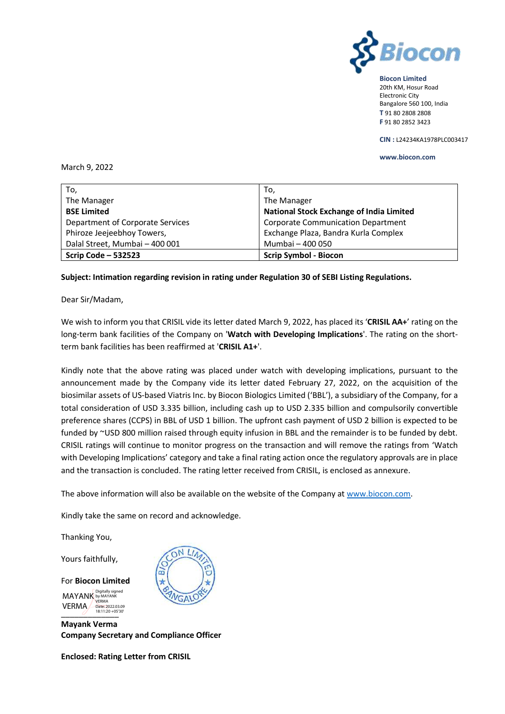

**Biocon Limited** 20th KM, Hosur Road Electronic City Bangalore 560 100, India **T** 91 80 2808 2808 **F** 91 80 2852 3423

**CIN :** L24234KA1978PLC003417

#### **www.biocon.com**

## March 9, 2022

| To,                              | To,                                             |
|----------------------------------|-------------------------------------------------|
| The Manager                      | The Manager                                     |
| <b>BSE Limited</b>               | <b>National Stock Exchange of India Limited</b> |
| Department of Corporate Services | <b>Corporate Communication Department</b>       |
| Phiroze Jeejeebhoy Towers,       | Exchange Plaza, Bandra Kurla Complex            |
| Dalal Street, Mumbai - 400 001   | Mumbai - 400 050                                |
| <b>Scrip Code - 532523</b>       | <b>Scrip Symbol - Biocon</b>                    |

### **Subject: Intimation regarding revision in rating under Regulation 30 of SEBI Listing Regulations.**

Dear Sir/Madam,

We wish to inform you that CRISIL vide its letter dated March 9, 2022, has placed its '**CRISIL AA+**' rating on the long-term bank facilities of the Company on '**Watch with Developing Implications**'. The rating on the shortterm bank facilities has been reaffirmed at '**CRISIL A1+**'.

Kindly note that the above rating was placed under watch with developing implications, pursuant to the announcement made by the Company vide its letter dated February 27, 2022, on the acquisition of the biosimilar assets of US-based Viatris Inc. by Biocon Biologics Limited ('BBL'), a subsidiary of the Company, for a total consideration of USD 3.335 billion, including cash up to USD 2.335 billion and compulsorily convertible preference shares (CCPS) in BBL of USD 1 billion. The upfront cash payment of USD 2 billion is expected to be funded by ~USD 800 million raised through equity infusion in BBL and the remainder is to be funded by debt. CRISIL ratings will continue to monitor progress on the transaction and will remove the ratings from 'Watch with Developing Implications' category and take a final rating action once the regulatory approvals are in place and the transaction is concluded. The rating letter received from CRISIL, is enclosed as annexure.

The above information will also be available on the website of the Company at [www.biocon.com.](http://www.biocon.com/)

Kindly take the same on record and acknowledge.

Thanking You,

Yours faithfully,

For **Biocon Limited**  $18:11:20+05$ MAYANK Digitally signed VERMA Date: 2022.03.09 VERMA

**Mayank Verma Company Secretary and Compliance Officer**

**Enclosed: Rating Letter from CRISIL**

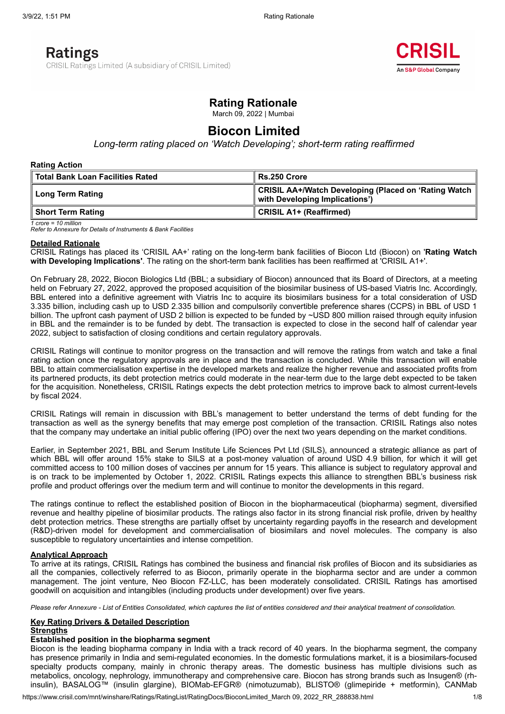# **Ratings**

CRISIL Ratings Limited (A subsidiary of CRISIL Limited)



# **Rating Rationale**

March 09, 2022 | Mumbai

# **Biocon Limited**

*Long-term rating placed on 'Watch Developing'; short-term rating reaffirmed*

#### **Rating Action**

| Total Bank Loan Facilities Rated | Rs.250 Crore                                                                               |  |  |
|----------------------------------|--------------------------------------------------------------------------------------------|--|--|
| ∥ Long Term Rating               | ∥ CRISIL AA+/Watch Developing (Placed on 'Rating Watch ∥<br>with Developing Implications') |  |  |
| ∥ Short Term Rating              | CRISIL A1+ (Reaffirmed)                                                                    |  |  |

*1 crore = 10 million*

*Refer to Annexure for Details of Instruments & Bank Facilities*

#### **Detailed Rationale**

CRISIL Ratings has placed its 'CRISIL AA+' rating on the long-term bank facilities of Biocon Ltd (Biocon) on '**Rating Watch with Developing Implications'**. The rating on the short-term bank facilities has been reaffirmed at 'CRISIL A1+'.

On February 28, 2022, Biocon Biologics Ltd (BBL; a subsidiary of Biocon) announced that its Board of Directors, at a meeting held on February 27, 2022, approved the proposed acquisition of the biosimilar business of US-based Viatris Inc. Accordingly, BBL entered into a definitive agreement with Viatris Inc to acquire its biosimilars business for a total consideration of USD 3.335 billion, including cash up to USD 2.335 billion and compulsorily convertible preference shares (CCPS) in BBL of USD 1 billion. The upfront cash payment of USD 2 billion is expected to be funded by ~USD 800 million raised through equity infusion in BBL and the remainder is to be funded by debt. The transaction is expected to close in the second half of calendar year 2022, subject to satisfaction of closing conditions and certain regulatory approvals.

CRISIL Ratings will continue to monitor progress on the transaction and will remove the ratings from watch and take a final rating action once the regulatory approvals are in place and the transaction is concluded. While this transaction will enable BBL to attain commercialisation expertise in the developed markets and realize the higher revenue and associated profits from its partnered products, its debt protection metrics could moderate in the near-term due to the large debt expected to be taken for the acquisition. Nonetheless, CRISIL Ratings expects the debt protection metrics to improve back to almost current-levels by fiscal 2024.

CRISIL Ratings will remain in discussion with BBL's management to better understand the terms of debt funding for the transaction as well as the synergy benefits that may emerge post completion of the transaction. CRISIL Ratings also notes that the company may undertake an initial public offering (IPO) over the next two years depending on the market conditions.

Earlier, in September 2021, BBL and Serum Institute Life Sciences Pvt Ltd (SILS), announced a strategic alliance as part of which BBL will offer around 15% stake to SILS at a post-money valuation of around USD 4.9 billion, for which it will get committed access to 100 million doses of vaccines per annum for 15 years. This alliance is subject to regulatory approval and is on track to be implemented by October 1, 2022. CRISIL Ratings expects this alliance to strengthen BBL's business risk profile and product offerings over the medium term and will continue to monitor the developments in this regard.

The ratings continue to reflect the established position of Biocon in the biopharmaceutical (biopharma) segment, diversified revenue and healthy pipeline of biosimilar products. The ratings also factor in its strong financial risk profile, driven by healthy debt protection metrics. These strengths are partially offset by uncertainty regarding payoffs in the research and development (R&D)-driven model for development and commercialisation of biosimilars and novel molecules. The company is also susceptible to regulatory uncertainties and intense competition.

### **Analytical Approach**

To arrive at its ratings, CRISIL Ratings has combined the business and financial risk profiles of Biocon and its subsidiaries as all the companies, collectively referred to as Biocon, primarily operate in the biopharma sector and are under a common management. The joint venture, Neo Biocon FZ-LLC, has been moderately consolidated. CRISIL Ratings has amortised goodwill on acquisition and intangibles (including products under development) over five years.

Please refer Annexure - List of Entities Consolidated, which captures the list of entities considered and their analytical treatment of consolidation.

#### **Key Rating Drivers & Detailed Description**

## **Strengths**

#### **Established position in the biopharma segment**

Biocon is the leading biopharma company in India with a track record of 40 years. In the biopharma segment, the company has presence primarily in India and semi-regulated economies. In the domestic formulations market, it is a biosimilars-focused specialty products company, mainly in chronic therapy areas. The domestic business has multiple divisions such as metabolics, oncology, nephrology, immunotherapy and comprehensive care. Biocon has strong brands such as Insugen® (rhinsulin), BASALOG™ (insulin glargine), BIOMab-EFGR® (nimotuzumab), BLISTO® (glimepiride + metformin), CANMab

https://www.crisil.com/mnt/winshare/Ratings/RatingList/RatingDocs/BioconLimited March 09, 2022 RR 288838.html 1/8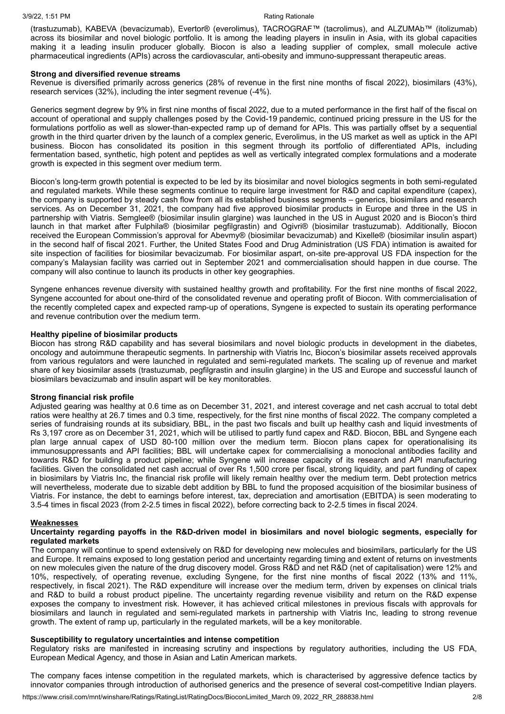(trastuzumab), KABEVA (bevacizumab), Evertor® (everolimus), TACROGRAF™ (tacrolimus), and ALZUMAb™ (itolizumab) across its biosimilar and novel biologic portfolio. It is among the leading players in insulin in Asia, with its global capacities making it a leading insulin producer globally. Biocon is also a leading supplier of complex, small molecule active pharmaceutical ingredients (APIs) across the cardiovascular, anti-obesity and immuno-suppressant therapeutic areas.

#### **Strong and diversified revenue streams**

Revenue is diversified primarily across generics (28% of revenue in the first nine months of fiscal 2022), biosimilars (43%), research services (32%), including the inter segment revenue (-4%).

Generics segment degrew by 9% in first nine months of fiscal 2022, due to a muted performance in the first half of the fiscal on account of operational and supply challenges posed by the Covid-19 pandemic, continued pricing pressure in the US for the formulations portfolio as well as slower-than-expected ramp up of demand for APIs. This was partially offset by a sequential growth in the third quarter driven by the launch of a complex generic, Everolimus, in the US market as well as uptick in the API business. Biocon has consolidated its position in this segment through its portfolio of differentiated APIs, including fermentation based, synthetic, high potent and peptides as well as vertically integrated complex formulations and a moderate growth is expected in this segment over medium term.

Biocon's long-term growth potential is expected to be led by its biosimilar and novel biologics segments in both semi-regulated and regulated markets. While these segments continue to require large investment for R&D and capital expenditure (capex), the company is supported by steady cash flow from all its established business segments – generics, biosimilars and research services. As on December 31, 2021, the company had five approved biosimilar products in Europe and three in the US in partnership with Viatris. Semglee® (biosimilar insulin glargine) was launched in the US in August 2020 and is Biocon's third launch in that market after Fulphila® (biosimilar pegfilgrastin) and Ogivri® (biosimilar trastuzumab). Additionally, Biocon received the European Commission's approval for Abevmy® (biosimilar bevacizumab) and Kixelle® (biosimilar insulin aspart) in the second half of fiscal 2021. Further, the United States Food and Drug Administration (US FDA) intimation is awaited for site inspection of facilities for biosimilar bevacizumab. For biosimilar aspart, on-site pre-approval US FDA inspection for the company's Malaysian facility was carried out in September 2021 and commercialisation should happen in due course. The company will also continue to launch its products in other key geographies.

Syngene enhances revenue diversity with sustained healthy growth and profitability. For the first nine months of fiscal 2022, Syngene accounted for about one-third of the consolidated revenue and operating profit of Biocon. With commercialisation of the recently completed capex and expected ramp-up of operations, Syngene is expected to sustain its operating performance and revenue contribution over the medium term.

#### **Healthy pipeline of biosimilar products**

Biocon has strong R&D capability and has several biosimilars and novel biologic products in development in the diabetes, oncology and autoimmune therapeutic segments. In partnership with Viatris Inc, Biocon's biosimilar assets received approvals from various regulators and were launched in regulated and semi-regulated markets. The scaling up of revenue and market share of key biosimilar assets (trastuzumab, pegfilgrastin and insulin glargine) in the US and Europe and successful launch of biosimilars bevacizumab and insulin aspart will be key monitorables.

#### **Strong financial risk profile**

Adjusted gearing was healthy at 0.6 time as on December 31, 2021, and interest coverage and net cash accrual to total debt ratios were healthy at 26.7 times and 0.3 time, respectively, for the first nine months of fiscal 2022. The company completed a series of fundraising rounds at its subsidiary, BBL, in the past two fiscals and built up healthy cash and liquid investments of Rs 3,197 crore as on December 31, 2021, which will be utilised to partly fund capex and R&D. Biocon, BBL and Syngene each plan large annual capex of USD 80-100 million over the medium term. Biocon plans capex for operationalising its immunosuppressants and API facilities; BBL will undertake capex for commercialising a monoclonal antibodies facility and towards R&D for building a product pipeline; while Syngene will increase capacity of its research and API manufacturing facilities. Given the consolidated net cash accrual of over Rs 1,500 crore per fiscal, strong liquidity, and part funding of capex in biosimilars by Viatris Inc, the financial risk profile will likely remain healthy over the medium term. Debt protection metrics will nevertheless, moderate due to sizable debt addition by BBL to fund the proposed acquisition of the biosimilar business of Viatris. For instance, the debt to earnings before interest, tax, depreciation and amortisation (EBITDA) is seen moderating to 3.5-4 times in fiscal 2023 (from 2-2.5 times in fiscal 2022), before correcting back to 2-2.5 times in fiscal 2024.

#### **Weaknesses**

#### **Uncertainty regarding payoffs in the R&D-driven model in biosimilars and novel biologic segments, especially for regulated markets**

The company will continue to spend extensively on R&D for developing new molecules and biosimilars, particularly for the US and Europe. It remains exposed to long gestation period and uncertainty regarding timing and extent of returns on investments on new molecules given the nature of the drug discovery model. Gross R&D and net R&D (net of capitalisation) were 12% and 10%, respectively, of operating revenue, excluding Syngene, for the first nine months of fiscal 2022 (13% and 11%, respectively, in fiscal 2021). The R&D expenditure will increase over the medium term, driven by expenses on clinical trials and R&D to build a robust product pipeline. The uncertainty regarding revenue visibility and return on the R&D expense exposes the company to investment risk. However, it has achieved critical milestones in previous fiscals with approvals for biosimilars and launch in regulated and semi-regulated markets in partnership with Viatris Inc, leading to strong revenue growth. The extent of ramp up, particularly in the regulated markets, will be a key monitorable.

### **Susceptibility to regulatory uncertainties and intense competition**

Regulatory risks are manifested in increasing scrutiny and inspections by regulatory authorities, including the US FDA, European Medical Agency, and those in Asian and Latin American markets.

The company faces intense competition in the regulated markets, which is characterised by aggressive defence tactics by innovator companies through introduction of authorised generics and the presence of several cost-competitive Indian players.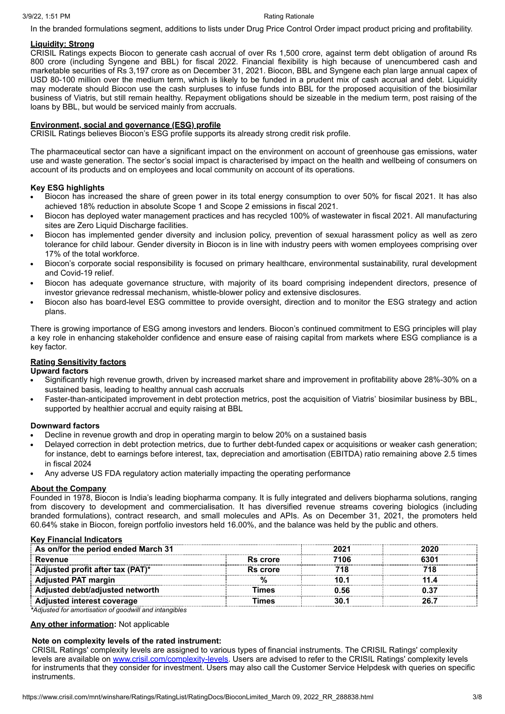In the branded formulations segment, additions to lists under Drug Price Control Order impact product pricing and profitability.

#### **Liquidity: Strong**

CRISIL Ratings expects Biocon to generate cash accrual of over Rs 1,500 crore, against term debt obligation of around Rs 800 crore (including Syngene and BBL) for fiscal 2022. Financial flexibility is high because of unencumbered cash and marketable securities of Rs 3,197 crore as on December 31, 2021. Biocon, BBL and Syngene each plan large annual capex of USD 80-100 million over the medium term, which is likely to be funded in a prudent mix of cash accrual and debt. Liquidity may moderate should Biocon use the cash surpluses to infuse funds into BBL for the proposed acquisition of the biosimilar business of Viatris, but still remain healthy. Repayment obligations should be sizeable in the medium term, post raising of the loans by BBL, but would be serviced mainly from accruals.

### **Environment, social and governance (ESG) profile**

CRISIL Ratings believes Biocon's ESG profile supports its already strong credit risk profile.

The pharmaceutical sector can have a significant impact on the environment on account of greenhouse gas emissions, water use and waste generation. The sector's social impact is characterised by impact on the health and wellbeing of consumers on account of its products and on employees and local community on account of its operations.

#### **Key ESG highlights**

- Biocon has increased the share of green power in its total energy consumption to over 50% for fiscal 2021. It has also achieved 18% reduction in absolute Scope 1 and Scope 2 emissions in fiscal 2021.
- Biocon has deployed water management practices and has recycled 100% of wastewater in fiscal 2021. All manufacturing sites are Zero Liquid Discharge facilities.
- Biocon has implemented gender diversity and inclusion policy, prevention of sexual harassment policy as well as zero tolerance for child labour. Gender diversity in Biocon is in line with industry peers with women employees comprising over 17% of the total workforce.
- Biocon's corporate social responsibility is focused on primary healthcare, environmental sustainability, rural development and Covid-19 relief.
- Biocon has adequate governance structure, with majority of its board comprising independent directors, presence of investor grievance redressal mechanism, whistle-blower policy and extensive disclosures.
- Biocon also has board-level ESG committee to provide oversight, direction and to monitor the ESG strategy and action plans.

There is growing importance of ESG among investors and lenders. Biocon's continued commitment to ESG principles will play a key role in enhancing stakeholder confidence and ensure ease of raising capital from markets where ESG compliance is a key factor.

### **Rating Sensitivity factors**

#### **Upward factors**

- Significantly high revenue growth, driven by increased market share and improvement in profitability above 28%-30% on a sustained basis, leading to healthy annual cash accruals
- Faster-than-anticipated improvement in debt protection metrics, post the acquisition of Viatris' biosimilar business by BBL, supported by healthier accrual and equity raising at BBL

#### **Downward factors**

- Decline in revenue growth and drop in operating margin to below 20% on a sustained basis
- Delayed correction in debt protection metrics, due to further debt-funded capex or acquisitions or weaker cash generation; for instance, debt to earnings before interest, tax, depreciation and amortisation (EBITDA) ratio remaining above 2.5 times in fiscal 2024
- Any adverse US FDA regulatory action materially impacting the operating performance

#### **About the Company**

Founded in 1978, Biocon is India's leading biopharma company. It is fully integrated and delivers biopharma solutions, ranging from discovery to development and commercialisation. It has diversified revenue streams covering biologics (including branded formulations), contract research, and small molecules and APIs. As on December 31, 2021, the promoters held 60.64% stake in Biocon, foreign portfolio investors held 16.00%, and the balance was held by the public and others.

#### **Key Financial Indicators**

| As on/for the period ended March 31 |          | 2021 | 2020 |
|-------------------------------------|----------|------|------|
| Revenue                             | Rs crore | 7106 | 6301 |
| Adjusted profit after tax (PAT)*    | Rs crore |      |      |
| <b>Adjusted PAT margin</b>          |          |      |      |
| Adjusted debt/adjusted networth     | Times    | 0.56 |      |
| <b>Adjusted interest coverage</b>   | Times    |      |      |

*\*Adjusted for amortisation of goodwill and intangibles*

**Any other information:** Not applicable

#### **Note on complexity levels of the rated instrument:**

CRISIL Ratings' complexity levels are assigned to various types of financial instruments. The CRISIL Ratings' complexity levels are available on [www.crisil.com/complexity-levels](http://www.crisil.com/complexity-levels). Users are advised to refer to the CRISIL Ratings' complexity levels for instruments that they consider for investment. Users may also call the Customer Service Helpdesk with queries on specific instruments.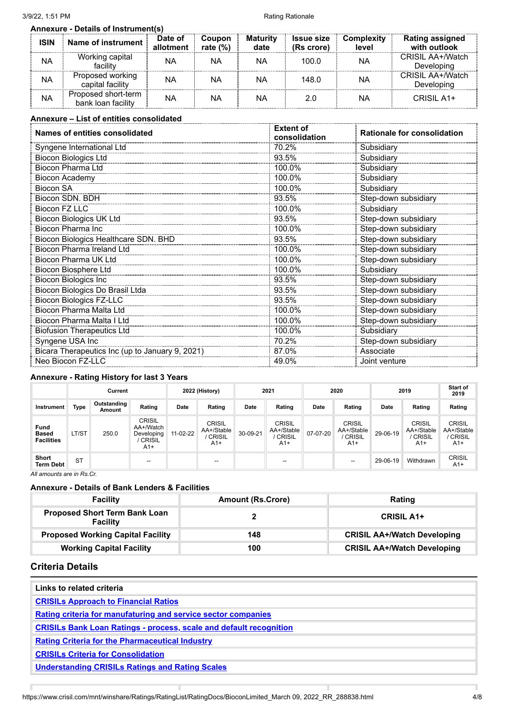|             | <b>Annexure - Details of Instrument(s)</b> |                      |                             |                         |                                 |                            |                                        |
|-------------|--------------------------------------------|----------------------|-----------------------------|-------------------------|---------------------------------|----------------------------|----------------------------------------|
| <b>ISIN</b> | Name of instrument                         | Date of<br>allotment | <b>Coupon</b><br>rate $(%)$ | <b>Maturity</b><br>date | <b>Issue size</b><br>(Rs crore) | <b>Complexity</b><br>level | <b>Rating assigned</b><br>with outlook |
| NA          | Working capital<br>facility                | NA                   | ΝA                          | NA                      | 100.0                           | ΝA                         | CRISIL AA+/Watch<br>Developing         |
| NA          | Proposed working<br>capital facility       | NA                   | ΝA                          | NA                      | 148.0                           | ΝA                         | CRISIL AA+/Watch<br>Developing         |
| NA          | Proposed short-term<br>bank loan facility  | NA                   | ΝA                          | NA                      | 2.0                             | NA                         | CRISIL A1+                             |

# **Annexure – List of entities consolidated**

| Names of entities consolidated                  | <b>Extent of</b><br>consolidation | <b>Rationale for consolidation</b> |  |  |  |
|-------------------------------------------------|-----------------------------------|------------------------------------|--|--|--|
| Syngene International Ltd                       | 70.2%                             | Subsidiary                         |  |  |  |
| <b>Biocon Biologics Ltd</b>                     | 93.5%                             | Subsidiary                         |  |  |  |
| Biocon Pharma Ltd                               | 100.0%                            | Subsidiary                         |  |  |  |
| Biocon Academy                                  | 100.0%                            | Subsidiary                         |  |  |  |
| <b>Biocon SA</b>                                | 100.0%                            | Subsidiary                         |  |  |  |
| Biocon SDN. BDH                                 | 93.5%                             | Step-down subsidiary               |  |  |  |
| Biocon FZ LLC                                   | 100.0%                            | Subsidiary                         |  |  |  |
| Biocon Biologics UK Ltd                         | 93.5%                             | Step-down subsidiary               |  |  |  |
| Biocon Pharma Inc                               | 100.0%                            | Step-down subsidiary               |  |  |  |
| <b>Biocon Biologics Healthcare SDN. BHD</b>     | 93.5%                             | Step-down subsidiary               |  |  |  |
| <b>Biocon Pharma Ireland Ltd</b>                | 100.0%                            | Step-down subsidiary               |  |  |  |
| <b>Biocon Pharma UK Ltd</b>                     | 100.0%                            | Step-down subsidiary               |  |  |  |
| Biocon Biosphere Ltd                            | 100.0%                            | Subsidiary                         |  |  |  |
| <b>Biocon Biologics Inc</b>                     | 93.5%                             | Step-down subsidiary               |  |  |  |
| Biocon Biologics Do Brasil Ltda                 | 93.5%                             | Step-down subsidiary               |  |  |  |
| <b>Biocon Biologics FZ-LLC</b>                  | 93.5%                             | Step-down subsidiary               |  |  |  |
| Biocon Pharma Malta Ltd                         | 100.0%                            | Step-down subsidiary               |  |  |  |
| Biocon Pharma Malta I Ltd                       | 100.0%                            | Step-down subsidiary               |  |  |  |
| <b>Biofusion Therapeutics Ltd</b>               | 100.0%                            | Subsidiary                         |  |  |  |
| Syngene USA Inc                                 | 70.2%                             | Step-down subsidiary               |  |  |  |
| Bicara Therapeutics Inc (up to January 9, 2021) | 87.0%                             | Associate                          |  |  |  |
| Neo Biocon FZ-LLC                               | 49.0%                             | Joint venture                      |  |  |  |

## **Annexure - Rating History for last 3 Years**

|                                           |           | Current               |                                                                  |          | 2022 (History)                                 | 2021<br>2020 |                                                       |          | 2019                                                  |          | <b>Start of</b><br>2019                               |                                                |
|-------------------------------------------|-----------|-----------------------|------------------------------------------------------------------|----------|------------------------------------------------|--------------|-------------------------------------------------------|----------|-------------------------------------------------------|----------|-------------------------------------------------------|------------------------------------------------|
| Instrument                                | Type      | Outstanding<br>Amount | Rating                                                           | Date     | Rating                                         | Date         | Rating                                                | Date     | Rating                                                | Date     | Rating                                                | Rating                                         |
| Fund<br><b>Based</b><br><b>Facilities</b> | LT/ST     | 250.0                 | <b>CRISIL</b><br>AA+/Watch<br>Developing<br><b>CRISIL</b><br>A1+ | 11-02-22 | <b>CRISIL</b><br>AA+/Stable<br>CRISIL<br>$A1+$ | 30-09-21     | <b>CRISIL</b><br>AA+/Stable<br><b>CRISIL</b><br>$A1+$ | 07-07-20 | <b>CRISIL</b><br>AA+/Stable<br><b>CRISIL</b><br>$A1+$ | 29-06-19 | <b>CRISIL</b><br>AA+/Stable<br><b>CRISIL</b><br>$A1+$ | <b>CRISIL</b><br>AA+/Stable<br>CRISIL<br>$A1+$ |
| Short<br><b>Term Debt</b>                 | <b>ST</b> |                       | $\overline{\phantom{a}}$                                         |          | --                                             |              | $\overline{\phantom{a}}$                              |          | --                                                    | 29-06-19 | Withdrawn                                             | <b>CRISIL</b><br>$A1+$                         |
| All amounts are in Rs.Cr.                 |           |                       |                                                                  |          |                                                |              |                                                       |          |                                                       |          |                                                       |                                                |

**Annexure - Details of Bank Lenders & Facilities**

| <b>Facility</b>                                         | <b>Amount (Rs.Crore)</b> | Rating                             |
|---------------------------------------------------------|--------------------------|------------------------------------|
| <b>Proposed Short Term Bank Loan</b><br><b>Facility</b> |                          | <b>CRISIL A1+</b>                  |
| <b>Proposed Working Capital Facility</b>                | 148                      | <b>CRISIL AA+/Watch Developing</b> |
| <b>Working Capital Facility</b>                         | 100                      | <b>CRISIL AA+/Watch Developing</b> |

# **Criteria Details**

 $\mathbb{F}$ 

| Links to related criteria                                                 |  |  |  |
|---------------------------------------------------------------------------|--|--|--|
| <b>CRISILS Approach to Financial Ratios</b>                               |  |  |  |
| Rating criteria for manufaturing and service sector companies             |  |  |  |
| <b>CRISILs Bank Loan Ratings - process, scale and default recognition</b> |  |  |  |
| <b>Rating Criteria for the Pharmaceutical Industry</b>                    |  |  |  |
| <b>CRISILs Criteria for Consolidation</b>                                 |  |  |  |
| <b>Understanding CRISILs Ratings and Rating Scales</b>                    |  |  |  |

T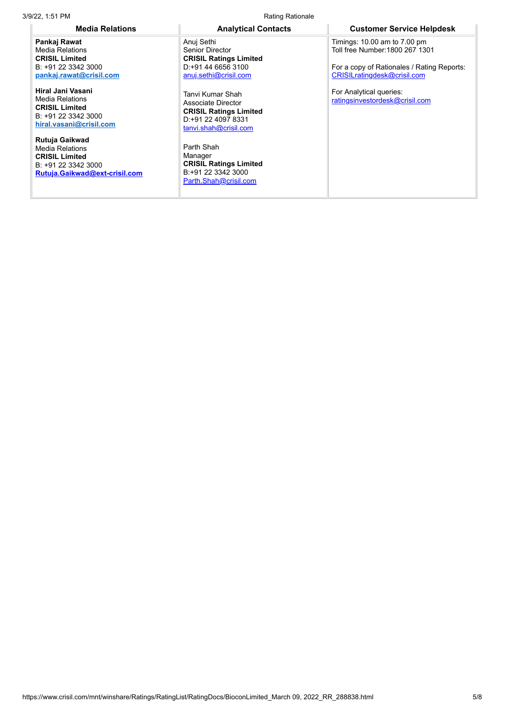3/9/22, 1:51 PM **Rating Rationale Rating Rationale Rating Rationale** 

**Pankaj Rawat** Media Relations **CRISIL Limited** B: +91 22 3342 3000 **[pankaj.rawat@crisil.com](mailto:pankaj.rawat@crisil.com)**

**Hiral Jani Vasani** Media Relations **CRISIL Limited** B: +91 22 3342 3000 **[hiral.vasani@crisil.com](mailto:hiral.vasani@crisil.com)**

**Rutuja Gaikwad** Media Relations **CRISIL Limited** B: +91 22 3342 3000 **[Rutuja.Gaikwad@ext-crisil.com](mailto:Rutuja.Gaikwad@ext-crisil.com)**

Anuj Sethi Senior Director **CRISIL Ratings Limited** D:+91 44 6656 3100 [anuj.sethi@crisil.com](https://www.crisil.com/mnt/winshare/Ratings/RatingList/RatingDocs/anuj.sethi@crisil.com)

Tanvi Kumar Shah Associate Director **CRISIL Ratings Limited** D:+91 22 4097 8331 [tanvi.shah@crisil.com](https://www.crisil.com/mnt/winshare/Ratings/RatingList/RatingDocs/tanvi.shah@crisil.com)

Parth Shah Manager **CRISIL Ratings Limited** B:+91 22 3342 3000 [Parth.Shah@crisil.com](https://www.crisil.com/mnt/winshare/Ratings/RatingList/RatingDocs/Parth.Shah@crisil.com)

**Media Relations Analytical Contacts Customer Service Helpdesk**

Timings: 10.00 am to 7.00 pm Toll free Number:1800 267 1301

For a copy of Rationales / Rating Reports: [CRISILratingdesk@crisil.com](mailto:CRISILratingdesk@crisil.com)

For Analytical queries: [ratingsinvestordesk@crisil.com](mailto:ratingsinvestordesk@crisil.com)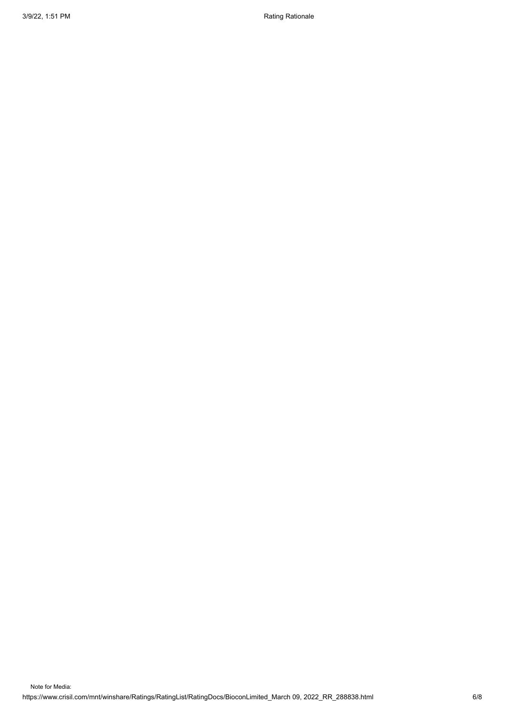3/9/22, 1:51 PM Rationale and the state of the state of the Rational Rationale Rationale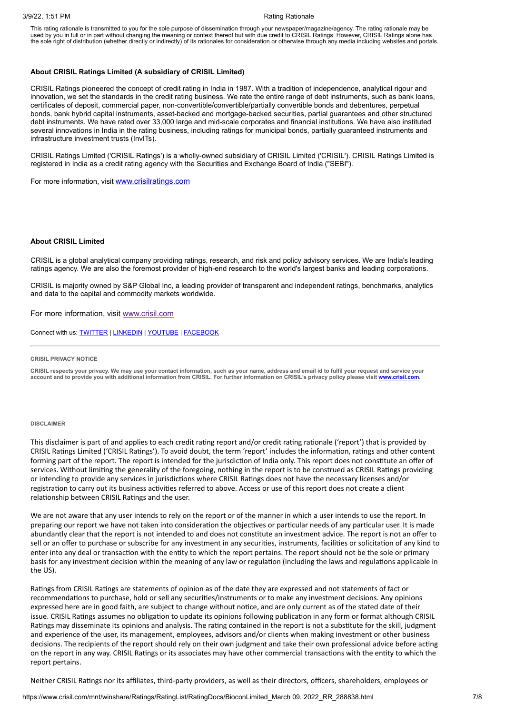This rating rationale is transmitted to you for the sole purpose of dissemination through your newspaper/magazine/agency. The rating rationale may be used by you in full or in part without changing the meaning or context thereof but with due credit to CRISIL Ratings. However, CRISIL Ratings alone has the sole right of distribution (whether directly or indirectly) of its rationales for consideration or otherwise through any media including websites and portals.

#### **About CRISIL Ratings Limited (A subsidiary of CRISIL Limited)**

CRISIL Ratings pioneered the concept of credit rating in India in 1987. With a tradition of independence, analytical rigour and innovation, we set the standards in the credit rating business. We rate the entire range of debt instruments, such as bank loans, certificates of deposit, commercial paper, non-convertible/convertible/partially convertible bonds and debentures, perpetual bonds, bank hybrid capital instruments, asset-backed and mortgage-backed securities, partial guarantees and other structured debt instruments. We have rated over 33,000 large and mid-scale corporates and financial institutions. We have also instituted several innovations in India in the rating business, including ratings for municipal bonds, partially guaranteed instruments and infrastructure investment trusts (InvITs).

CRISIL Ratings Limited ('CRISIL Ratings') is a wholly-owned subsidiary of CRISIL Limited ('CRISIL'). CRISIL Ratings Limited is registered in India as a credit rating agency with the Securities and Exchange Board of India ("SEBI").

For more information, visit [www.crisilratings.com](http://www.crisilratings.com/)

#### **About CRISIL Limited**

CRISIL is a global analytical company providing ratings, research, and risk and policy advisory services. We are India's leading ratings agency. We are also the foremost provider of high-end research to the world's largest banks and leading corporations.

CRISIL is majority owned by S&P Global Inc, a leading provider of transparent and independent ratings, benchmarks, analytics and data to the capital and commodity markets worldwide.

For more information, visit [www.crisil.com](http://www.crisil.com/)

Connect with us: [TWITTER](https://twitter.com/CRISILLimited) | [LINKEDIN](http://www.linkedin.com/company/crisil) | [YOUTUBE](https://www.youtube.com/user/CRISILLimited) | [FACEBOOK](https://www.facebook.com/CRISILLimited)

#### **CRISIL PRIVACY NOTICE**

CRISIL respects your privacy. We may use your contact information, such as your name, address and email id to fulfil your request and service your account and to provide you with additional information from CRISIL. For further information on CRISIL's privacy policy please visit [www.crisil.com](https://www.crisil.com/en/home/crisil-privacy-notice.html).

#### **DISCLAIMER**

This disclaimer is part of and applies to each credit rating report and/or credit rating rationale ('report') that is provided by CRISIL Ratings Limited ('CRISIL Ratings'). To avoid doubt, the term 'report' includes the information, ratings and other content forming part of the report. The report is intended for the jurisdiction of India only. This report does not constitute an offer of services. Without limiting the generality of the foregoing, nothing in the report is to be construed as CRISIL Ratings providing or intending to provide any services in jurisdictions where CRISIL Ratings does not have the necessary licenses and/or registration to carry out its business activities referred to above. Access or use of this report does not create a client relationship between CRISIL Ratings and the user.

We are not aware that any user intends to rely on the report or of the manner in which a user intends to use the report. In preparing our report we have not taken into consideration the objectives or particular needs of any particular user. It is made abundantly clear that the report is not intended to and does not constitute an investment advice. The report is not an offer to sell or an offer to purchase or subscribe for any investment in any securities, instruments, facilities or solicitation of any kind to enter into any deal or transaction with the entity to which the report pertains. The report should not be the sole or primary basis for any investment decision within the meaning of any law or regulation (including the laws and regulations applicable in the US).

Ratings from CRISIL Ratings are statements of opinion as of the date they are expressed and not statements of fact or recommendations to purchase, hold or sell any securities/instruments or to make any investment decisions. Any opinions expressed here are in good faith, are subject to change without notice, and are only current as of the stated date of their issue. CRISIL Ratings assumes no obligation to update its opinions following publication in any form or format although CRISIL Ratings may disseminate its opinions and analysis. The rating contained in the report is not a substitute for the skill, judgment and experience of the user, its management, employees, advisors and/or clients when making investment or other business decisions. The recipients of the report should rely on their own judgment and take their own professional advice before acting on the report in any way. CRISIL Ratings or its associates may have other commercial transactions with the entity to which the report pertains.

Neither CRISIL Ratings nor its affiliates, third-party providers, as well as their directors, officers, shareholders, employees or